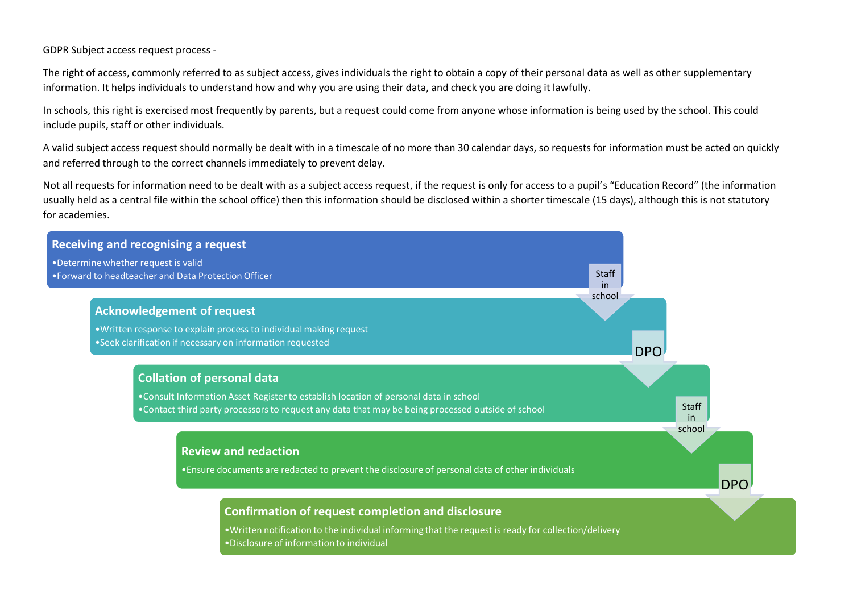GDPR Subject access request process -

The right of access, commonly referred to as subject access, gives individuals the right to obtain a copy of their personal data as well as other supplementary information. It helps individuals to understand how and why you are using their data, and check you are doing it lawfully.

In schools, this right is exercised most frequently by parents, but a request could come from anyone whose information is being used by the school. This could include pupils, staff or other individuals.

A valid subject access request should normally be dealt with in a timescale of no more than 30 calendar days, so requests for information must be acted on quickly and referred through to the correct channels immediately to prevent delay.

Not all requests for information need to be dealt with as a subject access request, if the request is only for access to a pupil's "Education Record" (the information usually held as a central file within the school office) then this information should be disclosed within a shorter timescale (15 days), although this is not statutory for academies.

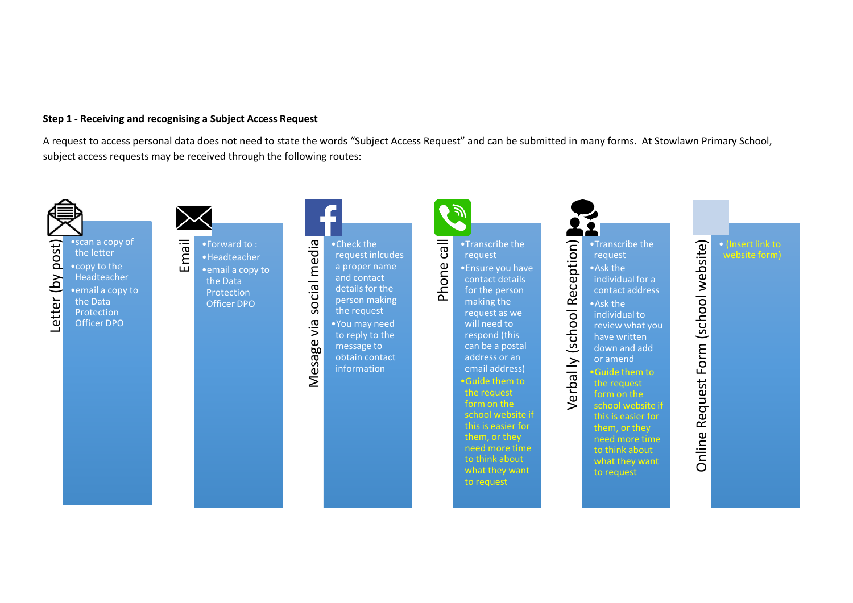### **Step 1 - Receiving and recognising a Subject Access Request**

A request to access personal data does not need to state the words "Subject Access Request" and can be submitted in many forms. At Stowlawn Primary School, subject access requests may be received through the following routes:

Phone call

沙



# Letter (by post) Letter (by post)

•scan a copy of the letter •copy to the Headteacher •email a copy to the Data **Protection** Officer DPO



•Forward to : •Headteacher •email a copy to the Data Protection Officer DPO

Mesage via social media •Check the Mesage via social media request inlcudes a proper name and contact details for the person making the request

•You may need to reply to the message to obtain contact information

contact details for the person making the request as we will need to respond (this can be a postal address or an email address) •Guide them to the request form on the school website if them, or they need more time to think about what they want to request

•Transcribe the request

•Ensure you have



request •Ask the individual for a contact address •Ask the individual to review what you have written down and add or amend •Guide them to the request form on the school website if this is easier for them, or they need more time to think about

> what they want to request

website form)

# Online Request Form (school website) Online Request Form (school website)